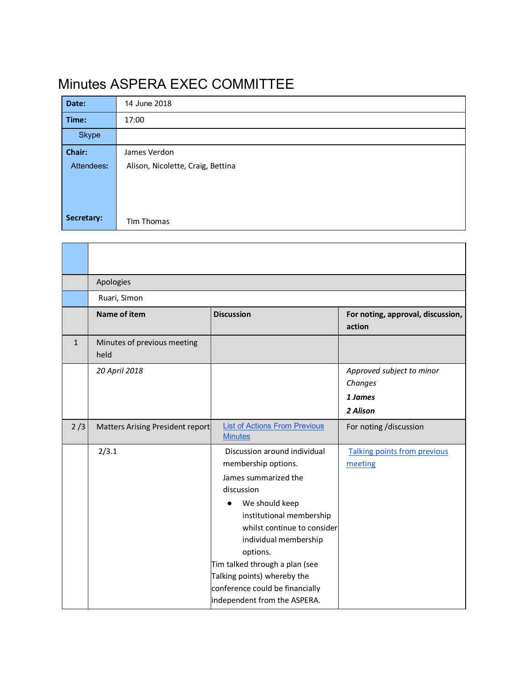# Minutes ASPERA EXEC COMMITTEE

Г

 $\mathbf{r}$ 

| Date:      | 14 June 2018                      |  |  |
|------------|-----------------------------------|--|--|
| Time:      | 17:00                             |  |  |
| Skype      |                                   |  |  |
| Chair:     | James Verdon                      |  |  |
| Attendees: | Alison, Nicolette, Craig, Bettina |  |  |
|            |                                   |  |  |
|            |                                   |  |  |
|            |                                   |  |  |
| Secretary: | Tim Thomas                        |  |  |

<u> 1980 - Johann Stoff, deutscher Stoffen und der Stoffen und der Stoffen und der Stoffen und der Stoffen und de</u>

|              | Apologies                           |                                                                                                                                                                                                                                                                                                                                                 |                                                             |  |  |
|--------------|-------------------------------------|-------------------------------------------------------------------------------------------------------------------------------------------------------------------------------------------------------------------------------------------------------------------------------------------------------------------------------------------------|-------------------------------------------------------------|--|--|
|              | Ruari, Simon                        |                                                                                                                                                                                                                                                                                                                                                 |                                                             |  |  |
|              | <b>Name of item</b>                 | <b>Discussion</b>                                                                                                                                                                                                                                                                                                                               | For noting, approval, discussion,<br>action                 |  |  |
| $\mathbf{1}$ | Minutes of previous meeting<br>held |                                                                                                                                                                                                                                                                                                                                                 |                                                             |  |  |
|              | 20 April 2018                       |                                                                                                                                                                                                                                                                                                                                                 | Approved subject to minor<br>Changes<br>1 James<br>2 Alison |  |  |
| 2/3          | Matters Arising President report    | <b>List of Actions From Previous</b><br><b>Minutes</b>                                                                                                                                                                                                                                                                                          | For noting /discussion                                      |  |  |
|              | 2/3.1                               | Discussion around individual<br>membership options.<br>James summarized the<br>discussion<br>We should keep<br>institutional membership<br>whilst continue to consider<br>individual membership<br>options.<br>Tim talked through a plan (see<br>Talking points) whereby the<br>conference could be financially<br>independent from the ASPERA. | Talking points from previous<br>meeting                     |  |  |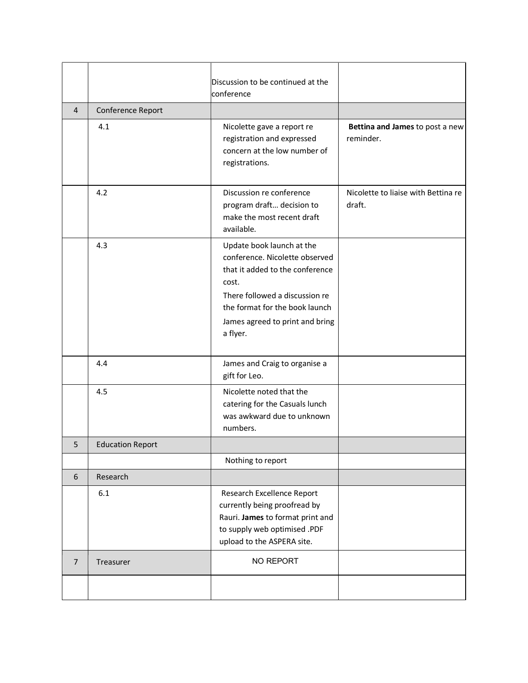|                |                         | Discussion to be continued at the<br>conference                                                                                                                                                                            |                                               |
|----------------|-------------------------|----------------------------------------------------------------------------------------------------------------------------------------------------------------------------------------------------------------------------|-----------------------------------------------|
| 4              | Conference Report       |                                                                                                                                                                                                                            |                                               |
|                | 4.1                     | Nicolette gave a report re<br>registration and expressed<br>concern at the low number of<br>registrations.                                                                                                                 | Bettina and James to post a new<br>reminder.  |
|                | 4.2                     | Discussion re conference<br>program draft decision to<br>make the most recent draft<br>available.                                                                                                                          | Nicolette to liaise with Bettina re<br>draft. |
|                | 4.3                     | Update book launch at the<br>conference. Nicolette observed<br>that it added to the conference<br>cost.<br>There followed a discussion re<br>the format for the book launch<br>James agreed to print and bring<br>a flyer. |                                               |
|                | 4.4                     | James and Craig to organise a<br>gift for Leo.                                                                                                                                                                             |                                               |
|                | 4.5                     | Nicolette noted that the<br>catering for the Casuals lunch<br>was awkward due to unknown<br>numbers.                                                                                                                       |                                               |
| 5              | <b>Education Report</b> |                                                                                                                                                                                                                            |                                               |
|                |                         | Nothing to report                                                                                                                                                                                                          |                                               |
| 6              | Research                |                                                                                                                                                                                                                            |                                               |
|                | 6.1                     | Research Excellence Report<br>currently being proofread by<br>Rauri. James to format print and<br>to supply web optimised .PDF<br>upload to the ASPERA site.                                                               |                                               |
| $\overline{7}$ | Treasurer               | NO REPORT                                                                                                                                                                                                                  |                                               |
|                |                         |                                                                                                                                                                                                                            |                                               |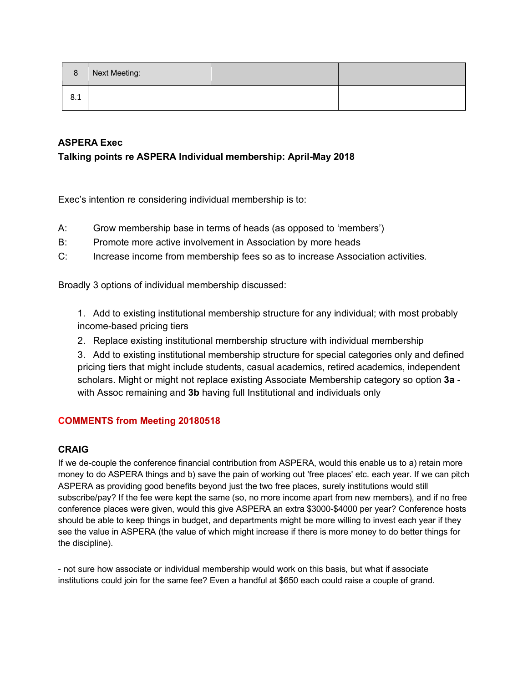| 8   | Next Meeting: |  |
|-----|---------------|--|
| 8.1 |               |  |

## **ASPERA Exec**

### **Talking points re ASPERA Individual membership: April-May 2018**

Exec's intention re considering individual membership is to:

- A: Grow membership base in terms of heads (as opposed to 'members')
- B: Promote more active involvement in Association by more heads
- C: Increase income from membership fees so as to increase Association activities.

Broadly 3 options of individual membership discussed:

1. Add to existing institutional membership structure for any individual; with most probably income-based pricing tiers

2. Replace existing institutional membership structure with individual membership

3. Add to existing institutional membership structure for special categories only and defined pricing tiers that might include students, casual academics, retired academics, independent scholars. Might or might not replace existing Associate Membership category so option **3a** with Assoc remaining and **3b** having full Institutional and individuals only

#### **COMMENTS from Meeting 20180518**

#### **CRAIG**

If we de-couple the conference financial contribution from ASPERA, would this enable us to a) retain more money to do ASPERA things and b) save the pain of working out 'free places' etc. each year. If we can pitch ASPERA as providing good benefits beyond just the two free places, surely institutions would still subscribe/pay? If the fee were kept the same (so, no more income apart from new members), and if no free conference places were given, would this give ASPERA an extra \$3000-\$4000 per year? Conference hosts should be able to keep things in budget, and departments might be more willing to invest each year if they see the value in ASPERA (the value of which might increase if there is more money to do better things for the discipline).

- not sure how associate or individual membership would work on this basis, but what if associate institutions could join for the same fee? Even a handful at \$650 each could raise a couple of grand.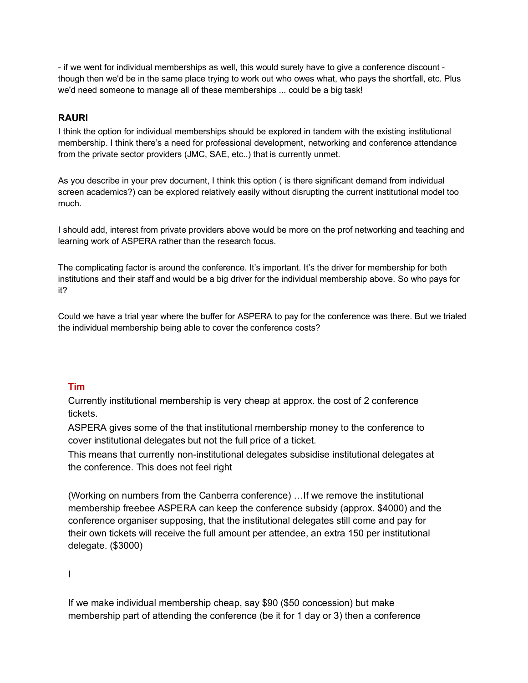- if we went for individual memberships as well, this would surely have to give a conference discount though then we'd be in the same place trying to work out who owes what, who pays the shortfall, etc. Plus we'd need someone to manage all of these memberships ... could be a big task!

# **RAURI**

I think the option for individual memberships should be explored in tandem with the existing institutional membership. I think there's a need for professional development, networking and conference attendance from the private sector providers (JMC, SAE, etc..) that is currently unmet.

As you describe in your prev document, I think this option ( is there significant demand from individual screen academics?) can be explored relatively easily without disrupting the current institutional model too much.

I should add, interest from private providers above would be more on the prof networking and teaching and learning work of ASPERA rather than the research focus.

The complicating factor is around the conference. It's important. It's the driver for membership for both institutions and their staff and would be a big driver for the individual membership above. So who pays for it?

Could we have a trial year where the buffer for ASPERA to pay for the conference was there. But we trialed the individual membership being able to cover the conference costs?

#### **Tim**

Currently institutional membership is very cheap at approx. the cost of 2 conference tickets.

ASPERA gives some of the that institutional membership money to the conference to cover institutional delegates but not the full price of a ticket.

This means that currently non-institutional delegates subsidise institutional delegates at the conference. This does not feel right

(Working on numbers from the Canberra conference) …If we remove the institutional membership freebee ASPERA can keep the conference subsidy (approx. \$4000) and the conference organiser supposing, that the institutional delegates still come and pay for their own tickets will receive the full amount per attendee, an extra 150 per institutional delegate. (\$3000)

I

If we make individual membership cheap, say \$90 (\$50 concession) but make membership part of attending the conference (be it for 1 day or 3) then a conference